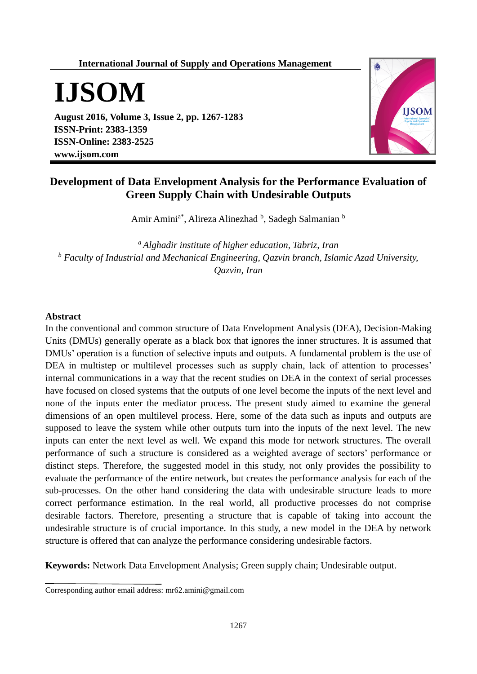## **International Journal of Supply and Operations Management**



**August 2016, Volume 3, Issue 2, pp. 1267-1283 ISSN-Print: 2383-1359 ISSN-Online: 2383-2525 www.ijsom.com**



# **Development of Data Envelopment Analysis for the Performance Evaluation of Green Supply Chain with Undesirable Outputs**

Amir Amini<sup>a\*</sup>, Alireza Alinezhad <sup>b</sup>, Sadegh Salmanian <sup>b</sup>

*<sup>a</sup> Alghadir institute of higher education, Tabriz, Iran <sup>b</sup> Faculty of Industrial and Mechanical Engineering, Qazvin branch, Islamic Azad University, Qazvin, Iran*

## **Abstract**

In the conventional and common structure of Data Envelopment Analysis (DEA), Decision-Making Units (DMUs) generally operate as a black box that ignores the inner structures. It is assumed that DMUs' operation is a function of selective inputs and outputs. A fundamental problem is the use of DEA in multistep or multilevel processes such as supply chain, lack of attention to processes' internal communications in a way that the recent studies on DEA in the context of serial processes have focused on closed systems that the outputs of one level become the inputs of the next level and none of the inputs enter the mediator process. The present study aimed to examine the general dimensions of an open multilevel process. Here, some of the data such as inputs and outputs are supposed to leave the system while other outputs turn into the inputs of the next level. The new inputs can enter the next level as well. We expand this mode for network structures. The overall performance of such a structure is considered as a weighted average of sectors' performance or distinct steps. Therefore, the suggested model in this study, not only provides the possibility to evaluate the performance of the entire network, but creates the performance analysis for each of the sub-processes. On the other hand considering the data with undesirable structure leads to more correct performance estimation. In the real world, all productive processes do not comprise desirable factors. Therefore, presenting a structure that is capable of taking into account the undesirable structure is of crucial importance. In this study, a new model in the DEA by network structure is offered that can analyze the performance considering undesirable factors.

**Keywords:** Network Data Envelopment Analysis; Green supply chain; Undesirable output.

Corresponding author email address: mr62.amini@gmail.com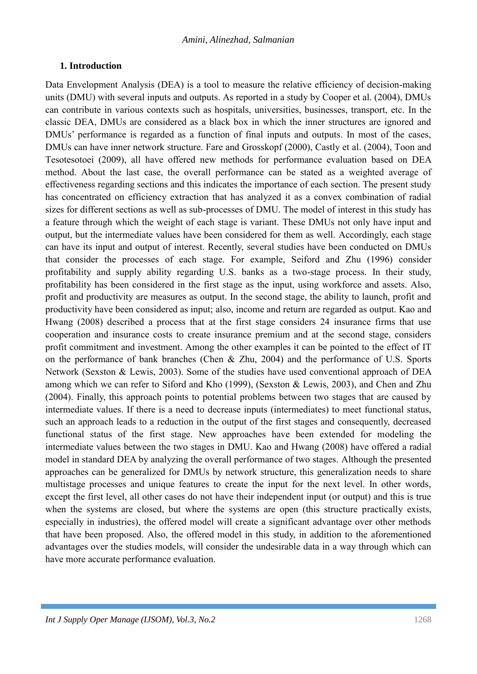# **1. Introduction**

Data Envelopment Analysis (DEA) is a tool to measure the relative efficiency of decision-making units (DMU) with several inputs and outputs. As reported in a study by Cooper et al. (2004), DMUs can contribute in various contexts such as hospitals, universities, businesses, transport, etc. In the classic DEA, DMUs are considered as a black box in which the inner structures are ignored and DMUs' performance is regarded as a function of final inputs and outputs. In most of the cases, DMUs can have inner network structure. Fare and Grosskopf (2000), Castly et al. (2004), Toon and Tesotesotoei (2009), all have offered new methods for performance evaluation based on DEA method. About the last case, the overall performance can be stated as a weighted average of effectiveness regarding sections and this indicates the importance of each section. The present study has concentrated on efficiency extraction that has analyzed it as a convex combination of radial sizes for different sections as well as sub-processes of DMU. The model of interest in this study has a feature through which the weight of each stage is variant. These DMUs not only have input and output, but the intermediate values have been considered for them as well. Accordingly, each stage can have its input and output of interest. Recently, several studies have been conducted on DMUs that consider the processes of each stage. For example, Seiford and Zhu (1996) consider profitability and supply ability regarding U.S. banks as a two-stage process. In their study, profitability has been considered in the first stage as the input, using workforce and assets. Also, profit and productivity are measures as output. In the second stage, the ability to launch, profit and productivity have been considered as input; also, income and return are regarded as output. Kao and Hwang (2008) described a process that at the first stage considers 24 insurance firms that use cooperation and insurance costs to create insurance premium and at the second stage, considers profit commitment and investment. Among the other examples it can be pointed to the effect of IT on the performance of bank branches (Chen & Zhu, 2004) and the performance of U.S. Sports Network (Sexston & Lewis, 2003). Some of the studies have used conventional approach of DEA among which we can refer to Siford and Kho (1999), (Sexston & Lewis, 2003), and Chen and Zhu (2004). Finally, this approach points to potential problems between two stages that are caused by intermediate values. If there is a need to decrease inputs (intermediates) to meet functional status, such an approach leads to a reduction in the output of the first stages and consequently, decreased functional status of the first stage. New approaches have been extended for modeling the intermediate values between the two stages in DMU. Kao and Hwang (2008) have offered a radial model in standard DEA by analyzing the overall performance of two stages. Although the presented approaches can be generalized for DMUs by network structure, this generalization needs to share multistage processes and unique features to create the input for the next level. In other words, except the first level, all other cases do not have their independent input (or output) and this is true when the systems are closed, but where the systems are open (this structure practically exists, especially in industries), the offered model will create a significant advantage over other methods that have been proposed. Also, the offered model in this study, in addition to the aforementioned advantages over the studies models, will consider the undesirable data in a way through which can have more accurate performance evaluation.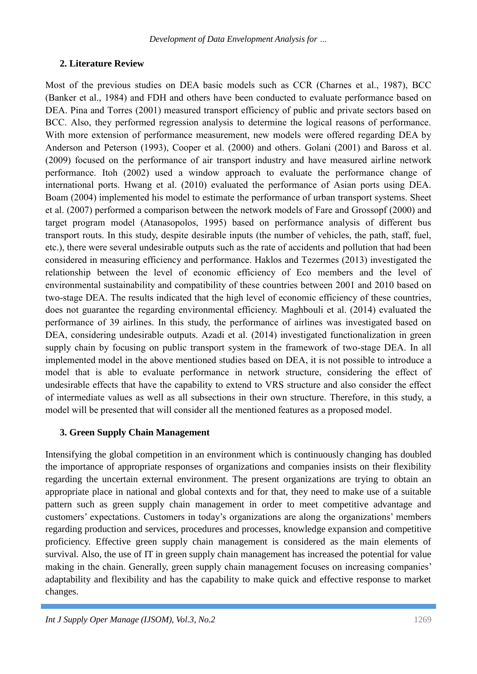# **2. Literature Review**

Most of the previous studies on DEA basic models such as CCR (Charnes et al., 1987), BCC (Banker et al., 1984) and FDH and others have been conducted to evaluate performance based on DEA. Pina and Torres (2001) measured transport efficiency of public and private sectors based on BCC. Also, they performed regression analysis to determine the logical reasons of performance. With more extension of performance measurement, new models were offered regarding DEA by Anderson and Peterson (1993), Cooper et al. (2000) and others. Golani (2001) and Baross et al. (2009) focused on the performance of air transport industry and have measured airline network performance. Itoh (2002) used a window approach to evaluate the performance change of international ports. Hwang et al. (2010) evaluated the performance of Asian ports using DEA. Boam (2004) implemented his model to estimate the performance of urban transport systems. Sheet et al. (2007) performed a comparison between the network models of Fare and Grossopf (2000) and target program model (Atanasopolos, 1995) based on performance analysis of different bus transport routs. In this study, despite desirable inputs (the number of vehicles, the path, staff, fuel, etc.), there were several undesirable outputs such as the rate of accidents and pollution that had been considered in measuring efficiency and performance. Haklos and Tezermes (2013) investigated the relationship between the level of economic efficiency of Eco members and the level of environmental sustainability and compatibility of these countries between 2001 and 2010 based on two-stage DEA. The results indicated that the high level of economic efficiency of these countries, does not guarantee the regarding environmental efficiency. Maghbouli et al. (2014) evaluated the performance of 39 airlines. In this study, the performance of airlines was investigated based on DEA, considering undesirable outputs. Azadi et al. (2014) investigated functionalization in green supply chain by focusing on public transport system in the framework of two-stage DEA. In all implemented model in the above mentioned studies based on DEA, it is not possible to introduce a model that is able to evaluate performance in network structure, considering the effect of undesirable effects that have the capability to extend to VRS structure and also consider the effect of intermediate values as well as all subsections in their own structure. Therefore, in this study, a model will be presented that will consider all the mentioned features as a proposed model.

# **3. Green Supply Chain Management**

Intensifying the global competition in an environment which is continuously changing has doubled the importance of appropriate responses of organizations and companies insists on their flexibility regarding the uncertain external environment. The present organizations are trying to obtain an appropriate place in national and global contexts and for that, they need to make use of a suitable pattern such as green supply chain management in order to meet competitive advantage and customers' expectations. Customers in today's organizations are along the organizations' members regarding production and services, procedures and processes, knowledge expansion and competitive proficiency. Effective green supply chain management is considered as the main elements of survival. Also, the use of IT in green supply chain management has increased the potential for value making in the chain. Generally, green supply chain management focuses on increasing companies' adaptability and flexibility and has the capability to make quick and effective response to market changes.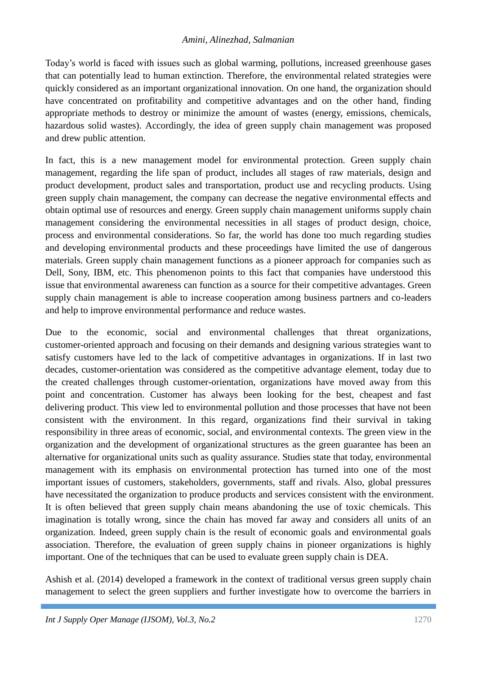Today's world is faced with issues such as global warming, pollutions, increased greenhouse gases that can potentially lead to human extinction. Therefore, the environmental related strategies were quickly considered as an important organizational innovation. On one hand, the organization should have concentrated on profitability and competitive advantages and on the other hand, finding appropriate methods to destroy or minimize the amount of wastes (energy, emissions, chemicals, hazardous solid wastes). Accordingly, the idea of green supply chain management was proposed and drew public attention.

In fact, this is a new management model for environmental protection. Green supply chain management, regarding the life span of product, includes all stages of raw materials, design and product development, product sales and transportation, product use and recycling products. Using green supply chain management, the company can decrease the negative environmental effects and obtain optimal use of resources and energy. Green supply chain management uniforms supply chain management considering the environmental necessities in all stages of product design, choice, process and environmental considerations. So far, the world has done too much regarding studies and developing environmental products and these proceedings have limited the use of dangerous materials. Green supply chain management functions as a pioneer approach for companies such as Dell, Sony, IBM, etc. This phenomenon points to this fact that companies have understood this issue that environmental awareness can function as a source for their competitive advantages. Green supply chain management is able to increase cooperation among business partners and co-leaders and help to improve environmental performance and reduce wastes.

Due to the economic, social and environmental challenges that threat organizations, customer-oriented approach and focusing on their demands and designing various strategies want to satisfy customers have led to the lack of competitive advantages in organizations. If in last two decades, customer-orientation was considered as the competitive advantage element, today due to the created challenges through customer-orientation, organizations have moved away from this point and concentration. Customer has always been looking for the best, cheapest and fast delivering product. This view led to environmental pollution and those processes that have not been consistent with the environment. In this regard, organizations find their survival in taking responsibility in three areas of economic, social, and environmental contexts. The green view in the organization and the development of organizational structures as the green guarantee has been an alternative for organizational units such as quality assurance. Studies state that today, environmental management with its emphasis on environmental protection has turned into one of the most important issues of customers, stakeholders, governments, staff and rivals. Also, global pressures have necessitated the organization to produce products and services consistent with the environment. It is often believed that green supply chain means abandoning the use of toxic chemicals. This imagination is totally wrong, since the chain has moved far away and considers all units of an organization. Indeed, green supply chain is the result of economic goals and environmental goals association. Therefore, the evaluation of green supply chains in pioneer organizations is highly important. One of the techniques that can be used to evaluate green supply chain is DEA.

Ashish et al. (2014) developed a framework in the context of traditional versus green supply chain management to select the green suppliers and further investigate how to overcome the barriers in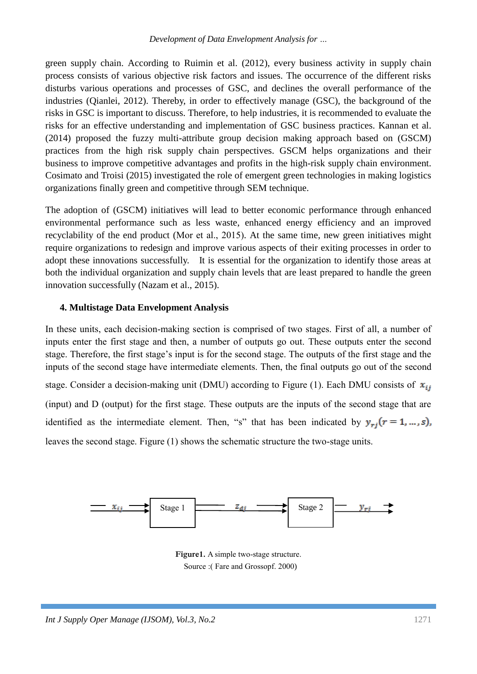green supply chain. According to Ruimin et al. (2012), every business activity in supply chain process consists of various objective risk factors and issues. The occurrence of the different risks disturbs various operations and processes of GSC, and declines the overall performance of the industries (Qianlei, 2012). Thereby, in order to effectively manage (GSC), the background of the risks in GSC is important to discuss. Therefore, to help industries, it is recommended to evaluate the risks for an effective understanding and implementation of GSC business practices. Kannan et al. (2014) proposed the fuzzy multi-attribute group decision making approach based on (GSCM) practices from the high risk supply chain perspectives. GSCM helps organizations and their business to improve competitive advantages and profits in the high-risk supply chain environment. Cosimato and Troisi (2015) investigated the role of emergent green technologies in making logistics organizations finally green and competitive through SEM technique.

The adoption of (GSCM) initiatives will lead to better economic performance through enhanced environmental performance such as less waste, enhanced energy efficiency and an improved recyclability of the end product (Mor et al., 2015). At the same time, new green initiatives might require organizations to redesign and improve various aspects of their exiting processes in order to adopt these innovations successfully. It is essential for the organization to identify those areas at both the individual organization and supply chain levels that are least prepared to handle the green innovation successfully (Nazam et al., 2015).

## **4. Multistage Data Envelopment Analysis**

In these units, each decision-making section is comprised of two stages. First of all, a number of inputs enter the first stage and then, a number of outputs go out. These outputs enter the second stage. Therefore, the first stage's input is for the second stage. The outputs of the first stage and the inputs of the second stage have intermediate elements. Then, the final outputs go out of the second stage. Consider a decision-making unit (DMU) according to Figure (1). Each DMU consists of  $x_{ij}$ (input) and D (output) for the first stage. These outputs are the inputs of the second stage that are identified as the intermediate element. Then, "s" that has been indicated by  $y_{ri}(r = 1, ..., s)$ , leaves the second stage. Figure (1) shows the schematic structure the two-stage units.



**Figure1.** A simple two-stage structure. Source :( Fare and Grossopf. 2000)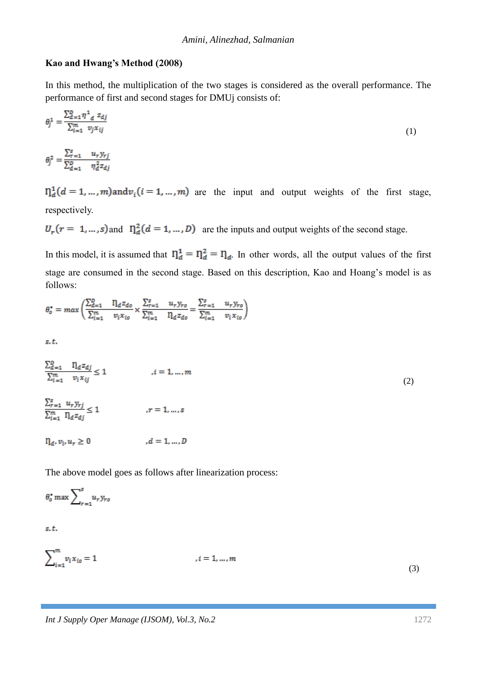#### **Kao and Hwang's Method (2008)**

In this method, the multiplication of the two stages is considered as the overall performance. The performance of first and second stages for DMUj consists of:

$$
\theta_j^1 = \frac{\sum_{d=1}^p \eta^1_{d} z_{dj}}{\sum_{i=1}^m v_j x_{ij}}
$$
(1)

$$
\theta_j^2 = \frac{\sum_{r=1}^s u_r y_{rj}}{\sum_{d=1}^b \eta_d^2 z_{dj}}
$$

 $n_d^1(d = 1, ..., m)$  and  $v_i(i = 1, ..., m)$  are the input and output weights of the first stage, respectively.

 $U_r(r = 1, ..., s)$  and  $\prod_{d=0}^{s} (d = 1, ..., D)$  are the inputs and output weights of the second stage.

In this model, it is assumed that  $\eta_d^1 = \eta_d^2 = \eta_d$ . In other words, all the output values of the first stage are consumed in the second stage. Based on this description, Kao and Hoang's model is as follows:

$$
\theta_o^* = \max \left( \frac{\sum_{d=1}^D n_d z_{do}}{\sum_{i=1}^m v_i x_{io}} \times \frac{\sum_{r=1}^s u_r y_{ro}}{\sum_{i=1}^m n_d z_{do}} \right) = \frac{\sum_{r=1}^s u_r y_{ro}}{\sum_{i=1}^m v_i x_{io}} \right)
$$

 $s, t$ .

$$
\frac{\sum_{d=1}^{D} \quad \prod_{d} z_{dj}}{\sum_{i=1}^{m} \quad v_i x_{ij}} \le 1 \qquad \qquad , i = 1, ..., m
$$
\n
$$
\frac{\sum_{r=1}^{s} u_r y_{rj}}{\sum_{i=1}^{m} \quad \prod_{d} z_{dj}} \le 1 \qquad \qquad , r = 1, ..., s
$$
\n(2)

 $\eta_d, v_i, u_r \geq 0$  $,d = 1, ..., D$ 

The above model goes as follows after linearization process:

$$
\theta_o^* \max \sum_{r=1}^s u_r y_{ro}
$$

s.t.

 $\sum_{i=1}^{m} v_i x_{io} = 1$  $i = 1, ..., m$ 

(3)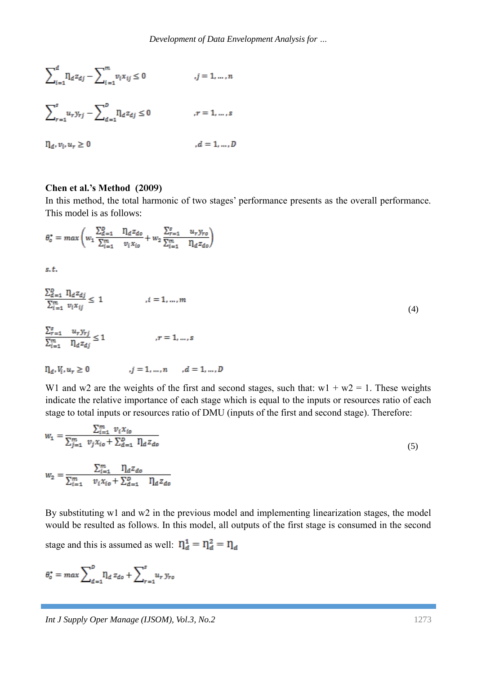$$
\sum_{i=1}^{d} \eta_{d} z_{dj} - \sum_{i=1}^{m} v_{i} x_{ij} \le 0 \qquad j = 1, ..., n
$$
  

$$
\sum_{r=1}^{s} u_{r} y_{rj} - \sum_{d=1}^{b} \eta_{d} z_{dj} \le 0 \qquad r = 1, ..., s
$$
  

$$
\eta_{d}, v_{i}, u_{r} \ge 0 \qquad d = 1, ..., D
$$

#### **Chen et al.'s Method (2009)**

In this method, the total harmonic of two stages' performance presents as the overall performance. This model is as follows:

$$
\theta_o^* = \max \left( w_1 \frac{\sum_{d=1}^D \eta_d z_{do}}{\sum_{i=1}^m v_i x_{io}} + w_2 \frac{\sum_{r=1}^S u_r y_{ro}}{\sum_{i=1}^m \eta_d z_{do}} \right)
$$

 $s, t$ .

$$
\frac{\sum_{d=1}^{D} \eta_{d} z_{dj}}{\sum_{i=1}^{m} v_{i} x_{ij}} \le 1 \qquad , i = 1, ..., m
$$
\n
$$
\frac{\sum_{r=1}^{s} u_{r} y_{rj}}{\sum_{i=1}^{m} \eta_{d} z_{dj}} \le 1 \qquad , r = 1, ..., s
$$
\n
$$
\eta_{d}, V_{i}, u_{r} \ge 0 \qquad , j = 1, ..., n \qquad , d = 1, ..., D
$$
\n(4)

W1 and w2 are the weights of the first and second stages, such that:  $w1 + w2 = 1$ . These weights indicate the relative importance of each stage which is equal to the inputs or resources ratio of each stage to total inputs or resources ratio of DMU (inputs of the first and second stage). Therefore:

$$
w_1 = \frac{\sum_{i=1}^{m} v_i x_{io}}{\sum_{j=1}^{m} v_j x_{io} + \sum_{d=1}^{p} \eta_d z_{do}}
$$
  

$$
w_2 = \frac{\sum_{i=1}^{m} \eta_d z_{do}}{\sum_{i=1}^{m} v_i x_{io} + \sum_{d=1}^{p} \eta_d z_{do}}
$$
 (5)

By substituting w1 and w2 in the previous model and implementing linearization stages, the model would be resulted as follows. In this model, all outputs of the first stage is consumed in the second stage and this is assumed as well:  $\eta_d^1 = \eta_d^2 = \eta_d$ 

$$
\theta_o^* = \max \sum_{d=1}^D \eta_d \, z_{do} + \sum_{r=1}^s u_r \, y_{ro}
$$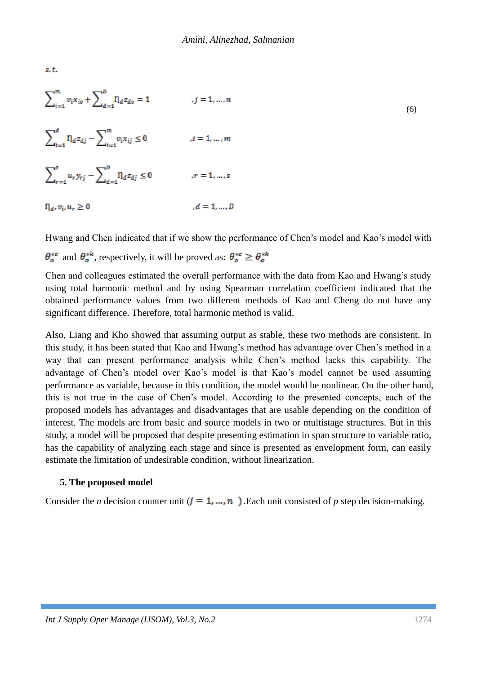$s, t$ .

 $\sum_{i=1}^{m} v_i x_{io} + \sum_{i=1}^{D} \eta_d z_{do} = 1$  $j = 1, \ldots, n$  (6)  $\sum\nolimits_{i=1}^d {\eta _d z_{dj}} - \sum\nolimits_{i=1}^m {{v_i x_{ij}}} \le 0$  $i=1,\ldots,m$  $\sum_{r=1}^{s} u_r y_{rj} - \sum_{d=1}^{b} \eta_d z_{dj} \leq 0$  $r=1,\ldots,s$  $\Pi_d, \nu_i, u_r \geq 0$  $,d = 1, ..., D$ 

Hwang and Chen indicated that if we show the performance of Chen's model and Kao's model with  $\theta_o^{*c}$  and  $\theta_o^{*k}$ , respectively, it will be proved as:  $\theta_o^{*c} \ge \theta_o^{*k}$ 

Chen and colleagues estimated the overall performance with the data from Kao and Hwang's study using total harmonic method and by using Spearman correlation coefficient indicated that the obtained performance values from two different methods of Kao and Cheng do not have any significant difference. Therefore, total harmonic method is valid.

Also, Liang and Kho showed that assuming output as stable, these two methods are consistent. In this study, it has been stated that Kao and Hwang's method has advantage over Chen's method in a way that can present performance analysis while Chen's method lacks this capability. The advantage of Chen's model over Kao's model is that Kao's model cannot be used assuming performance as variable, because in this condition, the model would be nonlinear. On the other hand, this is not true in the case of Chen's model. According to the presented concepts, each of the proposed models has advantages and disadvantages that are usable depending on the condition of interest. The models are from basic and source models in two or multistage structures. But in this study, a model will be proposed that despite presenting estimation in span structure to variable ratio, has the capability of analyzing each stage and since is presented as envelopment form, can easily estimate the limitation of undesirable condition, without linearization.

## **5. The proposed model**

Consider the *n* decision counter unit  $(j = 1, ..., n)$ . Each unit consisted of *p* step decision-making.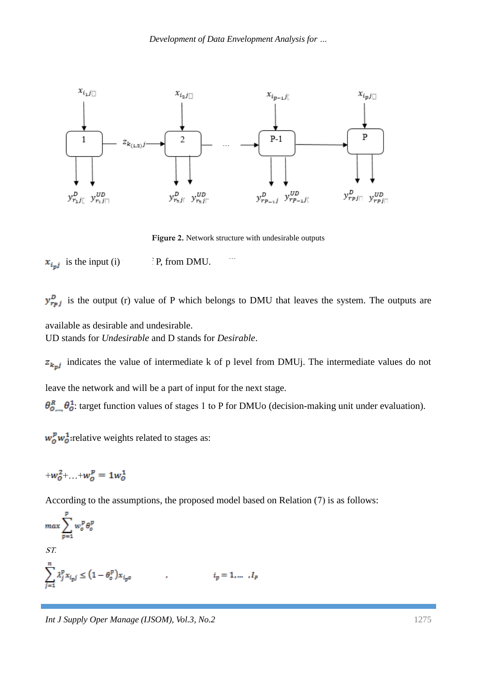

**Figure 2.** Network structure with undesirable outputs

 $x_{i_n j}$  is the input (i) i.e. i.e. FP, from DMU.

 $y_{rpj}^D$  is the output (r) value of P which belongs to DMU that leaves the system. The outputs are available as desirable and undesirable.

UD stands for *Undesirable* and D stands for *Desirable*.

 $z_{k_pj}$  indicates the value of intermediate k of p level from DMUj. The intermediate values do not leave the network and will be a part of input for the next stage.

 $\theta_{0,\dots,\omega}^R \theta_0^1$ : target function values of stages 1 to P for DMUo (decision-making unit under evaluation).

 $w_0^p w_0^1$ : relative weights related to stages as:

$$
+w_0^2 + \ldots + w_0^p = 1w_0^1
$$

According to the assumptions, the proposed model based on Relation (7) is as follows:

$$
\max \sum_{p=1}^{p} w_o^p \theta_o^p
$$
  
ST.  

$$
\sum_{j=1}^{n} \lambda_j^p x_{i_p j} \le (1 - \theta_o^p) x_{i_p o}
$$
  $i_p = 1, ..., I_p$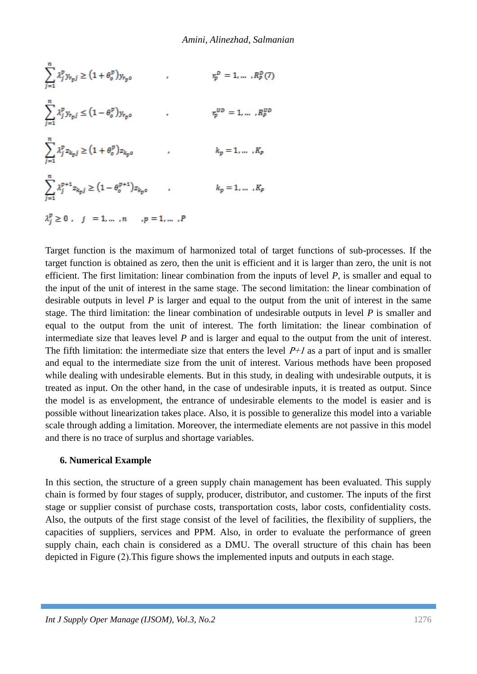$$
\sum_{j=1}^{n} \lambda_{j}^{p} y_{r_{p}j} \ge (1 + \theta_{o}^{p}) y_{r_{p}o} \qquad , \qquad r_{p}^{D} = 1, ..., R_{p}^{D}(7)
$$
\n
$$
\sum_{j=1}^{n} \lambda_{j}^{p} y_{r_{p}j} \le (1 - \theta_{o}^{p}) y_{r_{p}o} \qquad , \qquad r_{p}^{UD} = 1, ..., R_{p}^{UD}
$$
\n
$$
\sum_{j=1}^{n} \lambda_{j}^{p} z_{k_{p}j} \ge (1 + \theta_{o}^{p}) z_{k_{p}o} \qquad , \qquad k_{p} = 1, ..., R_{p}
$$
\n
$$
\sum_{j=1}^{n} \lambda_{j}^{p+1} z_{k_{p}j} \ge (1 - \theta_{o}^{p+1}) z_{k_{p}o} \qquad , \qquad k_{p} = 1, ..., R_{p}
$$
\n
$$
\lambda_{j}^{p} \ge 0 \ , \quad j = 1, ..., n \quad , p = 1, ..., P
$$

Target function is the maximum of harmonized total of target functions of sub-processes. If the target function is obtained as zero, then the unit is efficient and it is larger than zero, the unit is not efficient. The first limitation: linear combination from the inputs of level *P*, is smaller and equal to the input of the unit of interest in the same stage. The second limitation: the linear combination of desirable outputs in level *P* is larger and equal to the output from the unit of interest in the same stage. The third limitation: the linear combination of undesirable outputs in level *P* is smaller and equal to the output from the unit of interest. The forth limitation: the linear combination of intermediate size that leaves level *P* and is larger and equal to the output from the unit of interest. The fifth limitation: the intermediate size that enters the level  $P+1$  as a part of input and is smaller and equal to the intermediate size from the unit of interest. Various methods have been proposed while dealing with undesirable elements. But in this study, in dealing with undesirable outputs, it is treated as input. On the other hand, in the case of undesirable inputs, it is treated as output. Since the model is as envelopment, the entrance of undesirable elements to the model is easier and is possible without linearization takes place. Also, it is possible to generalize this model into a variable scale through adding a limitation. Moreover, the intermediate elements are not passive in this model and there is no trace of surplus and shortage variables.

## **6. Numerical Example**

In this section, the structure of a green supply chain management has been evaluated. This supply chain is formed by four stages of supply, producer, distributor, and customer. The inputs of the first stage or supplier consist of purchase costs, transportation costs, labor costs, confidentiality costs. Also, the outputs of the first stage consist of the level of facilities, the flexibility of suppliers, the capacities of suppliers, services and PPM. Also, in order to evaluate the performance of green supply chain, each chain is considered as a DMU. The overall structure of this chain has been depicted in Figure (2).This figure shows the implemented inputs and outputs in each stage.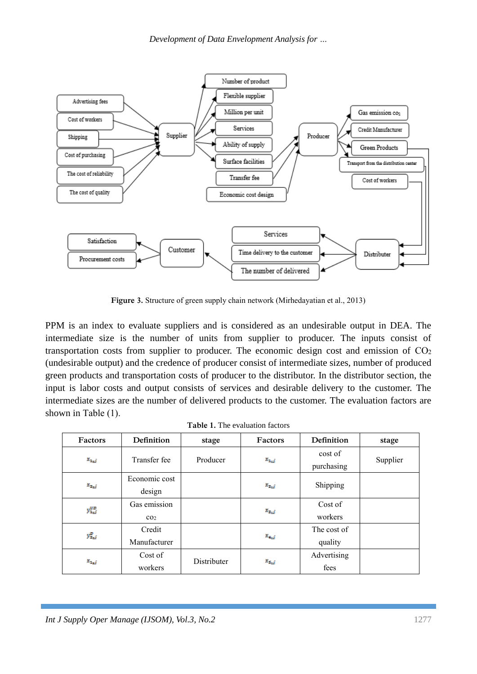

**Figure 3.** Structure of green supply chain network (Mirhedayatian et al., 2013)

PPM is an index to evaluate suppliers and is considered as an undesirable output in DEA. The intermediate size is the number of units from supplier to producer. The inputs consist of transportation costs from supplier to producer. The economic design cost and emission of  $CO<sub>2</sub>$ (undesirable output) and the credence of producer consist of intermediate sizes, number of produced green products and transportation costs of producer to the distributor. In the distributor section, the input is labor costs and output consists of services and desirable delivery to the customer. The intermediate sizes are the number of delivered products to the customer. The evaluation factors are shown in Table (1).

| <b>Table 1.</b> The evaluation factors |  |  |  |
|----------------------------------------|--|--|--|
|                                        |  |  |  |
|                                        |  |  |  |
|                                        |  |  |  |
|                                        |  |  |  |
|                                        |  |  |  |
|                                        |  |  |  |
|                                        |  |  |  |
|                                        |  |  |  |
|                                        |  |  |  |
|                                        |  |  |  |
|                                        |  |  |  |
|                                        |  |  |  |
|                                        |  |  |  |
|                                        |  |  |  |
|                                        |  |  |  |
|                                        |  |  |  |
|                                        |  |  |  |
|                                        |  |  |  |

| Factors       | Definition      | stage       | Factors       | Definition            | stage    |
|---------------|-----------------|-------------|---------------|-----------------------|----------|
| $x_{1,j}$     | Transfer fee    | Producer    | $x_{1,j}$     | cost of<br>purchasing | Supplier |
|               | Economic cost   |             |               |                       |          |
| $x_{x_{i},j}$ | design          |             | $x_{x,j}$     | Shipping              |          |
|               | Gas emission    |             |               | Cost of               |          |
| $y_{1,j}^{m}$ | CO <sub>2</sub> |             | $x_{x_{i},j}$ | workers               |          |
| $y_{2,j}^p$   | Credit          |             |               | The cost of           |          |
|               | Manufacturer    |             | $x_{x,j}$     | quality               |          |
| $x_{1,j}$     | Cost of         | Distributer |               | Advertising           |          |
|               | workers         |             | $x_{i,j}$     | fees                  |          |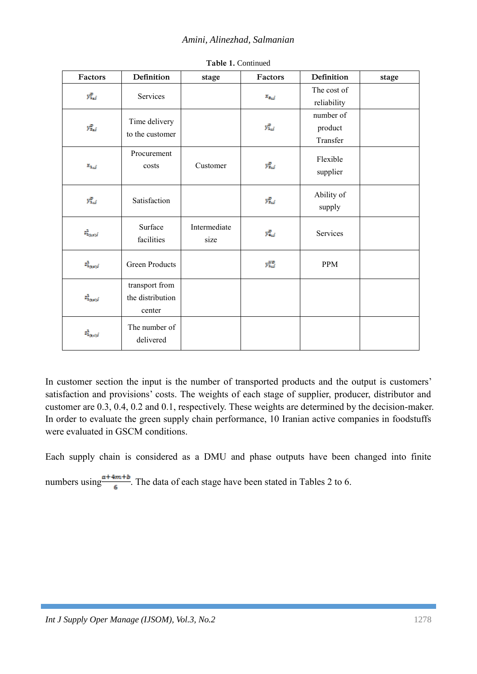| Factors                          | Definition                                   | stage                | Factors         | Definition                       | stage |
|----------------------------------|----------------------------------------------|----------------------|-----------------|----------------------------------|-------|
| $y_{1,j}^D$                      | Services                                     |                      | $x_{c_{1},j}$   | The cost of<br>reliability       |       |
| $y_{2, j}^D$                     | Time delivery<br>to the customer             |                      | $y_{1,j}^p$     | number of<br>product<br>Transfer |       |
| $x_{1,j}$                        | Procurement<br>costs                         | Customer             | $y_{2,j}^D$     | Flexible<br>supplier             |       |
| $y_{1,j}^p$                      | Satisfaction                                 |                      | $y_{x,j}^p$     | Ability of<br>supply             |       |
| $z_{1_{G,2},j}^1$                | Surface<br>facilities                        | Intermediate<br>size | $y_{4,j}^D$     | Services                         |       |
| $\mathbf{z}_{1_{G\times M}}^{1}$ | <b>Green Products</b>                        |                      | $y_{1,j}^{III}$ | <b>PPM</b>                       |       |
| $z_{1_{G,xy}}^1$                 | transport from<br>the distribution<br>center |                      |                 |                                  |       |
| $z_{1_{(2,4)}j}^1$               | The number of<br>delivered                   |                      |                 |                                  |       |

**Table 1.** Continued

In customer section the input is the number of transported products and the output is customers' satisfaction and provisions' costs. The weights of each stage of supplier, producer, distributor and customer are 0.3, 0.4, 0.2 and 0.1, respectively. These weights are determined by the decision-maker. In order to evaluate the green supply chain performance, 10 Iranian active companies in foodstuffs were evaluated in GSCM conditions.

Each supply chain is considered as a DMU and phase outputs have been changed into finite

numbers using  $\frac{a+4m+b}{6}$ . The data of each stage have been stated in Tables 2 to 6.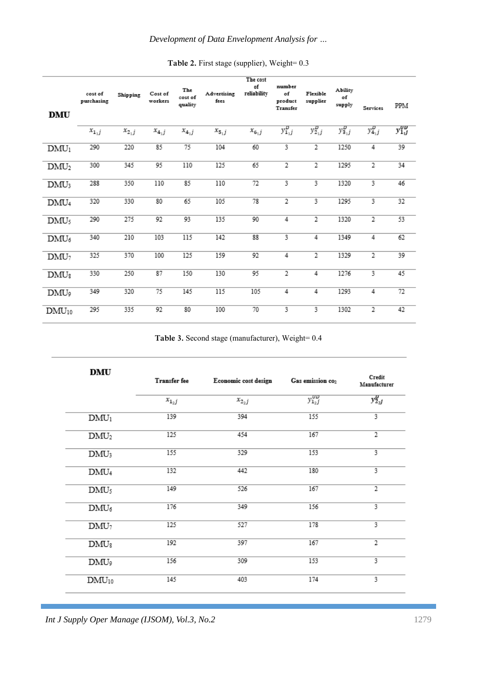| <b>DMU</b>       | cost of<br>purchasing | Shipping  | Cost of<br>workers | The<br>cost of<br>quality | Advertising<br>fees | The cost<br>of<br>reliability | number<br>of<br>product<br>Transfer | Flexible<br>supplier | Ability<br>of<br>supply | <b>Services</b> | PPM           |
|------------------|-----------------------|-----------|--------------------|---------------------------|---------------------|-------------------------------|-------------------------------------|----------------------|-------------------------|-----------------|---------------|
|                  | $x_{1,j}$             | $x_{2,j}$ | $x_{4,j}$          | $x_{4,j}$                 | $x_{5,j}$           | $x_{6,j}$                     | $y_{1,j}^p$                         | $y_{2,j}^p$          | $y_{3,j}^p$             | $y_{4,j}^D$     | $y_{1j}^{yy}$ |
| $DMU_1$          | 290                   | 220       | 85                 | 75                        | 104                 | 60                            | 3                                   | 2                    | 1250                    | 4               | 39            |
| DMU <sub>2</sub> | 300                   | 345       | 95                 | 110                       | 125                 | 65                            | 2                                   | 2                    | 1295                    | $\overline{2}$  | 34            |
| DMU3             | 288                   | 350       | 110                | 85                        | 110                 | 72                            | 3                                   | 3.                   | 1320                    | 3               | 46            |
| DMU <sub>4</sub> | 320                   | 330       | 80                 | 65                        | 105                 | 78                            | $\overline{2}$                      | 3.                   | 1295                    | 3               | 32            |
| $DMU_5$          | 290                   | 275       | 92                 | 93                        | 135                 | 90                            | 4                                   | 2                    | 1320                    | 2               | 53            |
| $DMU_6$          | 340                   | 210       | 103                | 115                       | 142                 | 88                            | 3                                   | 4                    | 1349                    | 4               | 62            |
| DMU <sub>7</sub> | 325                   | 370       | 100                | 125                       | 159                 | 92                            | 4                                   | 2                    | 1329                    | 2               | 39            |
| $DMU_8$          | 330                   | 250       | 87                 | 150                       | 130                 | 95                            | 2                                   | 4                    | 1276                    | 3               | 45            |
| DMU9             | 349                   | 320       | 75                 | 145                       | 115                 | 105                           | 4                                   | 4                    | 1293                    | 4               | 72            |
| $DMU_{10}$       | 295                   | 335       | 92                 | 80                        | 100                 | 70                            | 3                                   | 3                    | 1302                    | 2               | 42            |

Table 2. First stage (supplier), Weight=  $0.3$ 

**Table 3.** Second stage (manufacturer), Weight= 0.4

| <b>DMU</b>       | Transfer fee | Economic cost design | Gas emission co2 | Credit<br>Manufacturer |
|------------------|--------------|----------------------|------------------|------------------------|
|                  | $x_{12}$     | $x_{2,j}$            | $y_{1_2j}^{UD}$  | $y_{2,j}^{\nu}$        |
| $DMU_1$          | 139          | 394                  | 155              | 3                      |
| DMU <sub>2</sub> | 125          | 454                  | 167              | 2                      |
| $DMU_3$          | 155          | 329                  | 153              | 3                      |
| DMU <sub>4</sub> | 132          | 442                  | 180              | 3                      |
| $DMU_5$          | 149          | 526                  | 167              | 2                      |
| $DMU_6$          | 176          | 349                  | 156              | 3                      |
| DMU <sub>7</sub> | 125          | 527                  | 178              | 3                      |
| $DMU_8$          | 192          | 397                  | 167              | $\overline{2}$         |
| DMU9             | 156          | 309                  | 153              | 3                      |
| $DMU_{10}$       | 145          | 403                  | 174              | 3                      |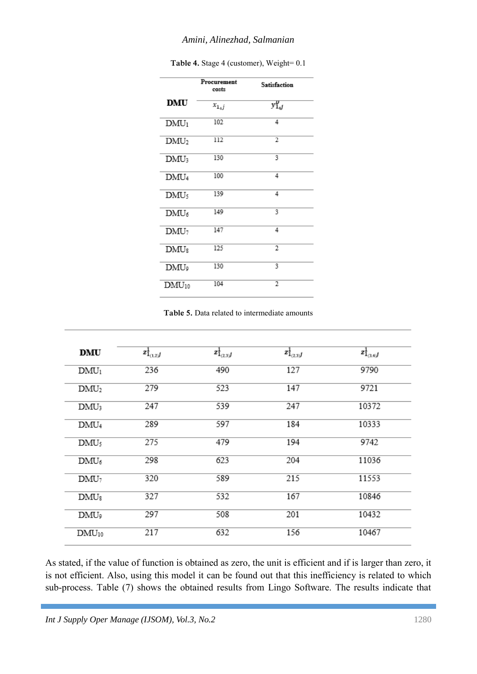## *Amini, Alinezhad, Salmanian*

|                  | Procurement<br>costs | <b>Satisfaction</b> |
|------------------|----------------------|---------------------|
| <b>DMU</b>       | $x_{1,j}$            | $y_{1,j}^{\nu}$     |
| $DMU_1$          | 102                  | 4                   |
| DMU <sub>2</sub> | 112                  | 2                   |
| $DMU_3$          | 130                  | 3                   |
| DMU <sub>4</sub> | 100                  | 4                   |
| DMU <sub>5</sub> | 139                  | 4                   |
| $DMU_6$          | 149                  | 3                   |
| $DMU_7$          | 147                  | 4                   |
| $DMU_8$          | 125                  | 2                   |
| DMU9             | 130                  | 3                   |
| $DMU_{10}$       | 104                  | 2                   |

Table 4. Stage 4 (customer), Weight=  $0.1$ 

**Table 5.** Data related to intermediate amounts

| <b>DMU</b>       | $z_{1_{(1,2)}j}^1$ | $z_{1_{(2,3)}}^1$ | $z_{1_{(2,3)}}^1$ | $z_{1_{(3,4)}}^{1}$ |
|------------------|--------------------|-------------------|-------------------|---------------------|
| $DMU_1$          | 236                | 490               | 127               | 9790                |
| DMU <sub>2</sub> | 279                | 523               | 147               | 9721                |
| $DMU_3$          | 247                | 539               | 247               | 10372               |
| DMU <sub>4</sub> | 289                | 597               | 184               | 10333               |
| $DMU_5$          | 275                | 479               | 194               | 9742                |
| $DMU_6$          | 298                | 623               | 204               | 11036               |
| $DMU_7$          | 320                | 589               | 215               | 11553               |
| $DMU_8$          | 327                | 532               | 167               | 10846               |
| وDMU             | 297                | 508               | 201               | 10432               |
| $DMU_{10}$       | 217                | 632               | 156               | 10467               |

As stated, if the value of function is obtained as zero, the unit is efficient and if is larger than zero, it is not efficient. Also, using this model it can be found out that this inefficiency is related to which sub-process. Table (7) shows the obtained results from Lingo Software. The results indicate that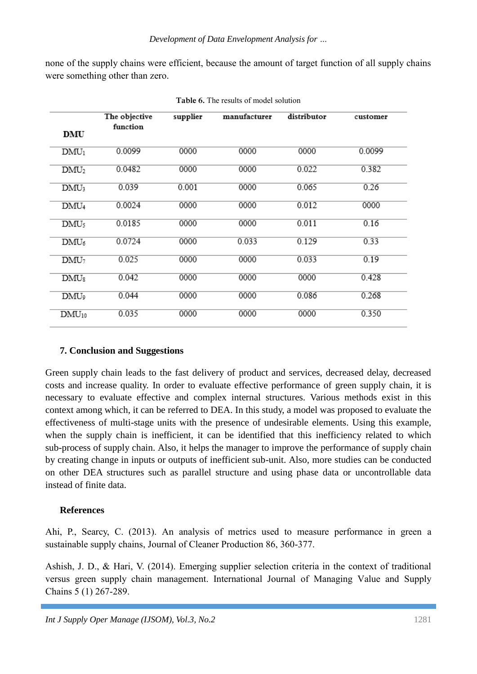none of the supply chains were efficient, because the amount of target function of all supply chains were something other than zero.

| DMU              | The objective<br>function | supplier | manufacturer | distributor | customer |
|------------------|---------------------------|----------|--------------|-------------|----------|
| DMU <sub>1</sub> | 0.0099                    | 0000     | 0000         | 0000        | 0.0099   |
| DMU <sub>2</sub> | 0.0482                    | 0000     | 0000         | 0.022       | 0.382    |
| $DMU_3$          | 0.039                     | 0.001    | 0000         | 0.065       | 0.26     |
| DMU <sub>4</sub> | 0.0024                    | 0000     | 0000         | 0.012       | 0000     |
| DMU <sub>5</sub> | 0.0185                    | 0000     | 0000         | 0.011       | 0.16     |
| $DMU_6$          | 0.0724                    | 0000     | 0.033        | 0.129       | 0.33     |
| DMU <sub>7</sub> | 0.025                     | 0000     | 0000         | 0.033       | 0.19     |
| $DMU_8$          | 0.042                     | 0000     | 0000         | 0000        | 0.428    |
| DMU9             | 0.044                     | 0000     | 0000         | 0.086       | 0.268    |
| $DMU_{10}$       | 0.035                     | 0000     | 0000         | 0000        | 0.350    |

**Table 6.** The results of model solution

## **7. Conclusion and Suggestions**

Green supply chain leads to the fast delivery of product and services, decreased delay, decreased costs and increase quality. In order to evaluate effective performance of green supply chain, it is necessary to evaluate effective and complex internal structures. Various methods exist in this context among which, it can be referred to DEA. In this study, a model was proposed to evaluate the effectiveness of multi-stage units with the presence of undesirable elements. Using this example, when the supply chain is inefficient, it can be identified that this inefficiency related to which sub-process of supply chain. Also, it helps the manager to improve the performance of supply chain by creating change in inputs or outputs of inefficient sub-unit. Also, more studies can be conducted on other DEA structures such as parallel structure and using phase data or uncontrollable data instead of finite data.

## **References**

Ahi, P., Searcy, C. (2013). An analysis of metrics used to measure performance in green a sustainable supply chains, Journal of Cleaner Production 86, 360-377.

Ashish, J. D., & Hari, V. (2014). Emerging supplier selection criteria in the context of traditional versus green supply chain management. International Journal of Managing Value and Supply Chains 5 (1) 267-289.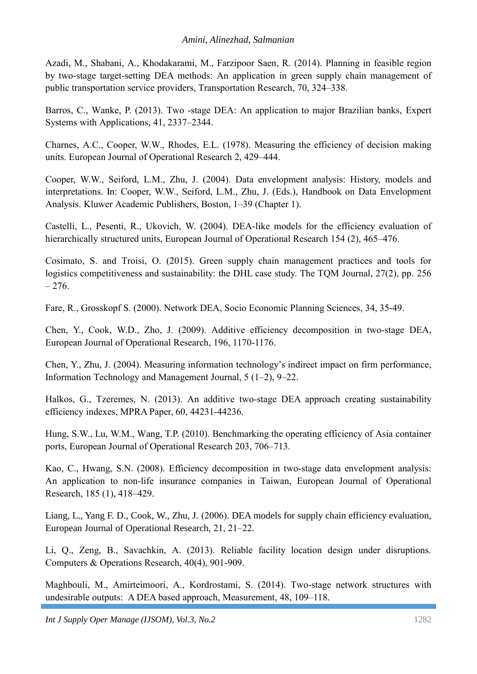Azadi, M., Shabani, A., Khodakarami, M., Farzipoor Saen, R. (2014). Planning in feasible region by two-stage target-setting DEA methods: An application in green supply chain management of public transportation service providers, Transportation Research, 70, 324–338.

Barros, C., Wanke, P. (2013). Two -stage DEA: An application to major Brazilian banks, Expert Systems with Applications, 41, 2337–2344.

Charnes, A.C., Cooper, W.W., Rhodes, E.L. (1978). Measuring the efficiency of decision making units. European Journal of Operational Research 2, 429–444.

Cooper, W.W., Seiford, L.M., Zhu, J. (2004). Data envelopment analysis: History, models and interpretations. In: Cooper, W.W., Seiford, L.M., Zhu, J. (Eds.), Handbook on Data Envelopment Analysis. Kluwer Academic Publishers, Boston, 1–39 (Chapter 1).

Castelli, L., Pesenti, R., Ukovich, W. (2004). DEA-like models for the efficiency evaluation of hierarchically structured units, European Journal of Operational Research 154 (2), 465–476.

Cosimato, S. and Troisi, O. (2015). Green supply chain management practices and tools for logistics competitiveness and sustainability: the DHL case study. The TQM Journal, 27(2), pp. 256  $-276.$ 

Fare, R., Grosskopf S. (2000). Network DEA, Socio Economic Planning Sciences, 34, 35-49.

Chen, Y., Cook, W.D., Zho, J. (2009). Additive efficiency decomposition in two-stage DEA, European Journal of Operational Research, 196, 1170-1176.

Chen, Y., Zhu, J. (2004). Measuring information technology's indirect impact on firm performance, Information Technology and Management Journal, 5 (1–2), 9–22.

Halkos, G., Tzeremes, N. (2013). An additive two-stage DEA approach creating sustainability efficiency indexes, MPRA Paper, 60, 44231-44236.

Hung, S.W., Lu, W.M., Wang, T.P. (2010). Benchmarking the operating efficiency of Asia container ports, European Journal of Operational Research 203, 706–713.

Kao, C., Hwang, S.N. (2008). Efficiency decomposition in two-stage data envelopment analysis: An application to non-life insurance companies in Taiwan, European Journal of Operational Research, 185 (1), 418–429.

Liang, L., Yang F. D., Cook, W., Zhu, J. (2006). DEA models for supply chain efficiency evaluation, European Journal of Operational Research, 21, 21–22.

Li, Q., Zeng, B., Savachkin, A. (2013). Reliable facility location design under disruptions. Computers & Operations Research, 40(4), 901-909.

Maghbouli, M., Amirteimoori, A., Kordrostami, S. (2014). Two-stage network structures with undesirable outputs: A DEA based approach, Measurement, 48, 109–118.